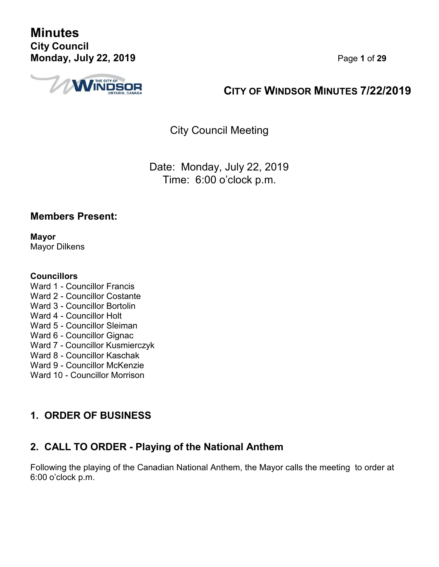**Minutes City Council Monday, July 22, 2019** Page **1** of **29**



# **CITY OF WINDSOR MINUTES 7/22/2019**

City Council Meeting

Date: Monday, July 22, 2019 Time: 6:00 o'clock p.m.

## **Members Present:**

**Mayor** Mayor Dilkens

### **Councillors**

Ward 1 - Councillor Francis Ward 2 - Councillor Costante Ward 3 - Councillor Bortolin Ward 4 - Councillor Holt Ward 5 - Councillor Sleiman Ward 6 - Councillor Gignac Ward 7 - Councillor Kusmierczyk Ward 8 - Councillor Kaschak Ward 9 - Councillor McKenzie Ward 10 - Councillor Morrison

# **1. ORDER OF BUSINESS**

# **2. CALL TO ORDER - Playing of the National Anthem**

Following the playing of the Canadian National Anthem, the Mayor calls the meeting to order at 6:00 o'clock p.m.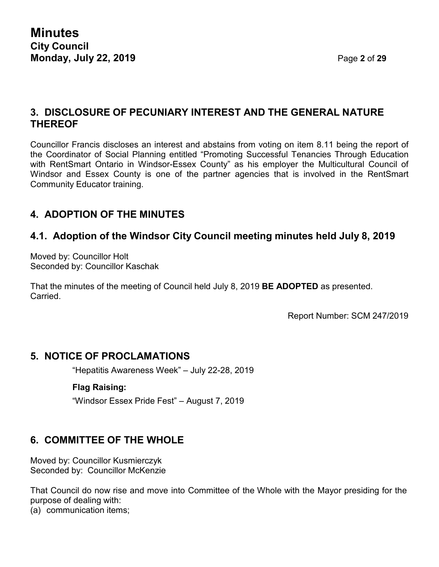**Minutes City Council Monday, July 22, 2019** Page **2** of **29**

## **3. DISCLOSURE OF PECUNIARY INTEREST AND THE GENERAL NATURE THEREOF**

Councillor Francis discloses an interest and abstains from voting on item 8.11 being the report of the Coordinator of Social Planning entitled "Promoting Successful Tenancies Through Education with RentSmart Ontario in Windsor-Essex County" as his employer the Multicultural Council of Windsor and Essex County is one of the partner agencies that is involved in the RentSmart Community Educator training.

## **4. ADOPTION OF THE MINUTES**

## **4.1. Adoption of the Windsor City Council meeting minutes held July 8, 2019**

Moved by: Councillor Holt Seconded by: Councillor Kaschak

That the minutes of the meeting of Council held July 8, 2019 **BE ADOPTED** as presented. Carried.

Report Number: SCM 247/2019

### **5. NOTICE OF PROCLAMATIONS**

"Hepatitis Awareness Week" – July 22-28, 2019

#### **Flag Raising:**

"Windsor Essex Pride Fest" – August 7, 2019

## **6. COMMITTEE OF THE WHOLE**

Moved by: Councillor Kusmierczyk Seconded by: Councillor McKenzie

That Council do now rise and move into Committee of the Whole with the Mayor presiding for the purpose of dealing with:

(a) communication items;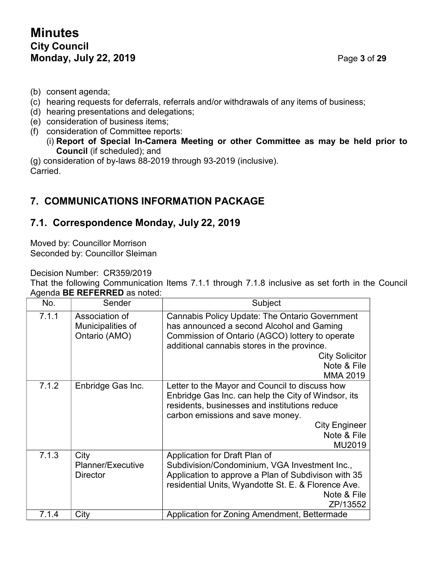# **Minutes City Council Monday, July 22, 2019** Page **3** of **29**

- (b) consent agenda;
- (c) hearing requests for deferrals, referrals and/or withdrawals of any items of business;
- (d) hearing presentations and delegations;
- (e) consideration of business items;
- (f) consideration of Committee reports:
	- (i) **Report of Special In-Camera Meeting or other Committee as may be held prior to Council** (if scheduled); and

(g) consideration of by-laws 88-2019 through 93-2019 (inclusive). Carried.

# **7. COMMUNICATIONS INFORMATION PACKAGE**

## **7.1. Correspondence Monday, July 22, 2019**

Moved by: Councillor Morrison Seconded by: Councillor Sleiman

Decision Number: CR359/2019

That the following Communication Items 7.1.1 through 7.1.8 inclusive as set forth in the Council Agenda **BE REFERRED** as noted:

| No.   | Sender                                               | Subject                                                                                                                                                                                                                                                  |  |
|-------|------------------------------------------------------|----------------------------------------------------------------------------------------------------------------------------------------------------------------------------------------------------------------------------------------------------------|--|
| 7.1.1 | Association of<br>Municipalities of<br>Ontario (AMO) | <b>Cannabis Policy Update: The Ontario Government</b><br>has announced a second Alcohol and Gaming<br>Commission of Ontario (AGCO) lottery to operate<br>additional cannabis stores in the province.<br><b>City Solicitor</b><br>Note & File<br>MMA 2019 |  |
| 7.1.2 | Enbridge Gas Inc.                                    | Letter to the Mayor and Council to discuss how<br>Enbridge Gas Inc. can help the City of Windsor, its<br>residents, businesses and institutions reduce<br>carbon emissions and save money.<br><b>City Engineer</b><br>Note & File<br>MU2019              |  |
| 7.1.3 | City<br>Planner/Executive<br><b>Director</b>         | Application for Draft Plan of<br>Subdivision/Condominium, VGA Investment Inc.,<br>Application to approve a Plan of Subdivison with 35<br>residential Units, Wyandotte St. E. & Florence Ave.<br>Note & File<br>ZP/13552                                  |  |
| 7.1.4 | City                                                 | Application for Zoning Amendment, Bettermade                                                                                                                                                                                                             |  |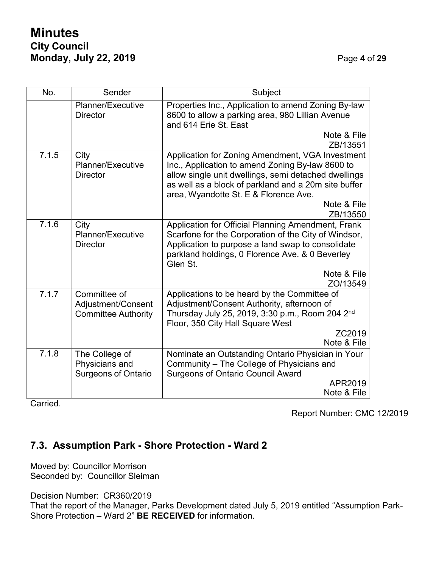# **Minutes City Council Monday, July 22, 2019** Page **4** of **29**

| No.   | Sender                                                           | Subject                                                                                                                                                                                                                                                       |  |
|-------|------------------------------------------------------------------|---------------------------------------------------------------------------------------------------------------------------------------------------------------------------------------------------------------------------------------------------------------|--|
|       | Planner/Executive<br><b>Director</b>                             | Properties Inc., Application to amend Zoning By-law<br>8600 to allow a parking area, 980 Lillian Avenue<br>and 614 Erie St. East                                                                                                                              |  |
|       |                                                                  | Note & File<br>ZB/13551                                                                                                                                                                                                                                       |  |
| 7.1.5 | City<br>Planner/Executive<br><b>Director</b>                     | Application for Zoning Amendment, VGA Investment<br>Inc., Application to amend Zoning By-law 8600 to<br>allow single unit dwellings, semi detached dwellings<br>as well as a block of parkland and a 20m site buffer<br>area, Wyandotte St. E & Florence Ave. |  |
|       |                                                                  | Note & File<br>ZB/13550                                                                                                                                                                                                                                       |  |
| 7.1.6 | City<br>Planner/Executive<br><b>Director</b>                     | Application for Official Planning Amendment, Frank<br>Scarfone for the Corporation of the City of Windsor,<br>Application to purpose a land swap to consolidate<br>parkland holdings, 0 Florence Ave. & 0 Beverley<br>Glen St.                                |  |
|       |                                                                  | Note & File<br>ZO/13549                                                                                                                                                                                                                                       |  |
| 7.1.7 | Committee of<br>Adjustment/Consent<br><b>Committee Authority</b> | Applications to be heard by the Committee of<br>Adjustment/Consent Authority, afternoon of<br>Thursday July 25, 2019, 3:30 p.m., Room 204 2 <sup>nd</sup><br>Floor, 350 City Hall Square West                                                                 |  |
|       |                                                                  | ZC2019<br>Note & File                                                                                                                                                                                                                                         |  |
| 7.1.8 | The College of<br>Physicians and<br><b>Surgeons of Ontario</b>   | Nominate an Outstanding Ontario Physician in Your<br>Community - The College of Physicians and<br><b>Surgeons of Ontario Council Award</b><br>APR2019<br>Note & File                                                                                          |  |

Carried.

Report Number: CMC 12/2019

## **7.3. Assumption Park - Shore Protection - Ward 2**

Moved by: Councillor Morrison Seconded by: Councillor Sleiman

Decision Number: CR360/2019

That the report of the Manager, Parks Development dated July 5, 2019 entitled "Assumption Park-Shore Protection – Ward 2" **BE RECEIVED** for information.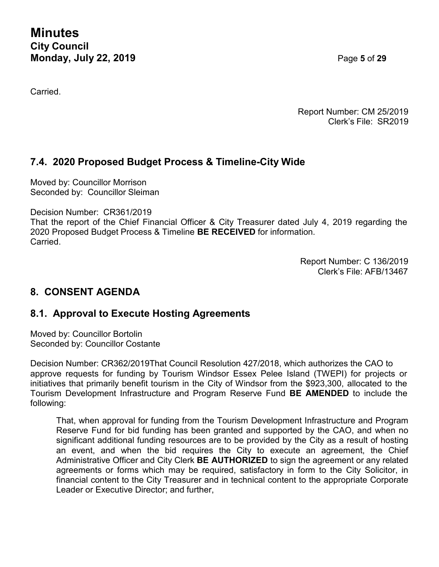# **Minutes City Council Monday, July 22, 2019** Page **5** of **29**

Carried.

Report Number: CM 25/2019 Clerk's File: SR2019

## **7.4. 2020 Proposed Budget Process & Timeline-City Wide**

Moved by: Councillor Morrison Seconded by: Councillor Sleiman

Decision Number: CR361/2019 That the report of the Chief Financial Officer & City Treasurer dated July 4, 2019 regarding the 2020 Proposed Budget Process & Timeline **BE RECEIVED** for information. Carried.

> Report Number: C 136/2019 Clerk's File: AFB/13467

## **8. CONSENT AGENDA**

## **8.1. Approval to Execute Hosting Agreements**

Moved by: Councillor Bortolin Seconded by: Councillor Costante

Decision Number: CR362/2019That Council Resolution 427/2018, which authorizes the CAO to approve requests for funding by Tourism Windsor Essex Pelee Island (TWEPI) for projects or initiatives that primarily benefit tourism in the City of Windsor from the \$923,300, allocated to the Tourism Development Infrastructure and Program Reserve Fund **BE AMENDED** to include the following:

That, when approval for funding from the Tourism Development Infrastructure and Program Reserve Fund for bid funding has been granted and supported by the CAO, and when no significant additional funding resources are to be provided by the City as a result of hosting an event, and when the bid requires the City to execute an agreement, the Chief Administrative Officer and City Clerk **BE AUTHORIZED** to sign the agreement or any related agreements or forms which may be required, satisfactory in form to the City Solicitor, in financial content to the City Treasurer and in technical content to the appropriate Corporate Leader or Executive Director; and further,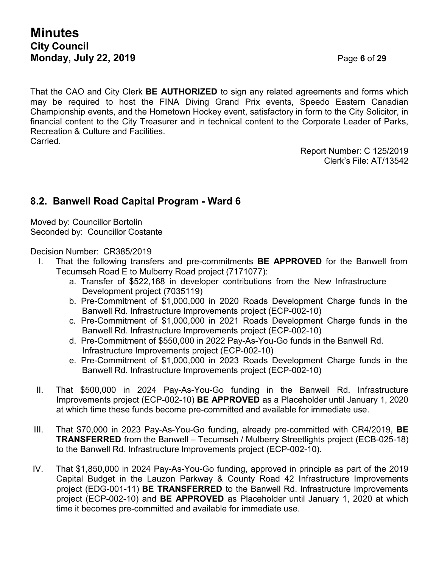# **Minutes City Council Monday, July 22, 2019** Page **6** of **29**

That the CAO and City Clerk **BE AUTHORIZED** to sign any related agreements and forms which may be required to host the FINA Diving Grand Prix events, Speedo Eastern Canadian Championship events, and the Hometown Hockey event, satisfactory in form to the City Solicitor, in financial content to the City Treasurer and in technical content to the Corporate Leader of Parks, Recreation & Culture and Facilities. Carried.

> Report Number: C 125/2019 Clerk's File: AT/13542

## **8.2. Banwell Road Capital Program - Ward 6**

Moved by: Councillor Bortolin Seconded by: Councillor Costante

Decision Number: CR385/2019

- I. That the following transfers and pre-commitments **BE APPROVED** for the Banwell from Tecumseh Road E to Mulberry Road project (7171077):
	- a. Transfer of \$522,168 in developer contributions from the New Infrastructure Development project (7035119)
	- b. Pre-Commitment of \$1,000,000 in 2020 Roads Development Charge funds in the Banwell Rd. Infrastructure Improvements project (ECP-002-10)
	- c. Pre-Commitment of \$1,000,000 in 2021 Roads Development Charge funds in the Banwell Rd. Infrastructure Improvements project (ECP-002-10)
	- d. Pre-Commitment of \$550,000 in 2022 Pay-As-You-Go funds in the Banwell Rd. Infrastructure Improvements project (ECP-002-10)
	- e. Pre-Commitment of \$1,000,000 in 2023 Roads Development Charge funds in the Banwell Rd. Infrastructure Improvements project (ECP-002-10)
- II. That \$500,000 in 2024 Pay-As-You-Go funding in the Banwell Rd. Infrastructure Improvements project (ECP-002-10) **BE APPROVED** as a Placeholder until January 1, 2020 at which time these funds become pre-committed and available for immediate use.
- III. That \$70,000 in 2023 Pay-As-You-Go funding, already pre-committed with CR4/2019, **BE TRANSFERRED** from the Banwell – Tecumseh / Mulberry Streetlights project (ECB-025-18) to the Banwell Rd. Infrastructure Improvements project (ECP-002-10).
- IV. That \$1,850,000 in 2024 Pay-As-You-Go funding, approved in principle as part of the 2019 Capital Budget in the Lauzon Parkway & County Road 42 Infrastructure Improvements project (EDG-001-11) **BE TRANSFERRED** to the Banwell Rd. Infrastructure Improvements project (ECP-002-10) and **BE APPROVED** as Placeholder until January 1, 2020 at which time it becomes pre-committed and available for immediate use.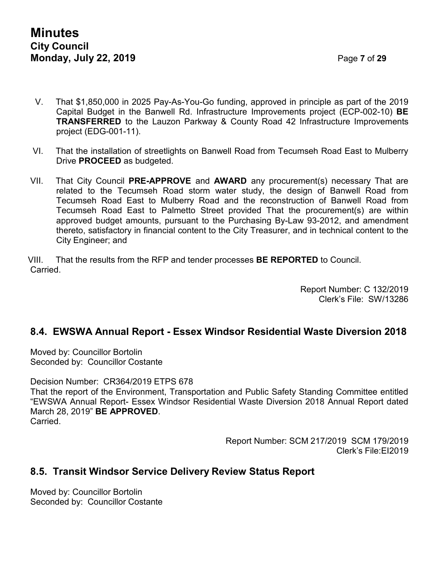- V. That \$1,850,000 in 2025 Pay-As-You-Go funding, approved in principle as part of the 2019 Capital Budget in the Banwell Rd. Infrastructure Improvements project (ECP-002-10) **BE TRANSFERRED** to the Lauzon Parkway & County Road 42 Infrastructure Improvements project (EDG-001-11).
- VI. That the installation of streetlights on Banwell Road from Tecumseh Road East to Mulberry Drive **PROCEED** as budgeted.
- VII. That City Council **PRE-APPROVE** and **AWARD** any procurement(s) necessary That are related to the Tecumseh Road storm water study, the design of Banwell Road from Tecumseh Road East to Mulberry Road and the reconstruction of Banwell Road from Tecumseh Road East to Palmetto Street provided That the procurement(s) are within approved budget amounts, pursuant to the Purchasing By-Law 93-2012, and amendment thereto, satisfactory in financial content to the City Treasurer, and in technical content to the City Engineer; and

VIII. That the results from the RFP and tender processes **BE REPORTED** to Council. Carried.

> Report Number: C 132/2019 Clerk's File: SW/13286

### **8.4. EWSWA Annual Report - Essex Windsor Residential Waste Diversion 2018**

Moved by: Councillor Bortolin Seconded by: Councillor Costante

Decision Number: CR364/2019 ETPS 678

That the report of the Environment, Transportation and Public Safety Standing Committee entitled "EWSWA Annual Report- Essex Windsor Residential Waste Diversion 2018 Annual Report dated March 28, 2019" **BE APPROVED**. Carried.

> Report Number: SCM 217/2019 SCM 179/2019 Clerk's File:EI2019

### **8.5. Transit Windsor Service Delivery Review Status Report**

Moved by: Councillor Bortolin Seconded by: Councillor Costante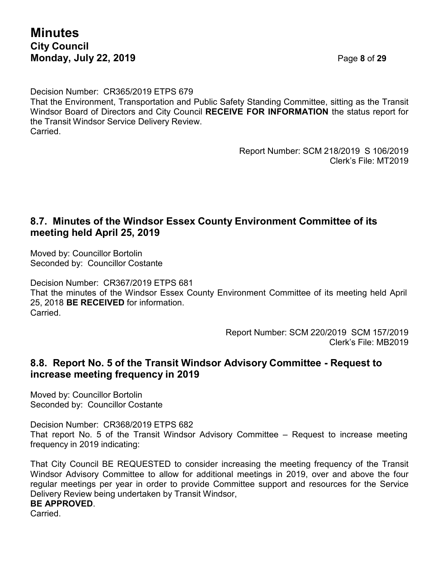# **Minutes City Council Monday, July 22, 2019** Page **8** of **29**

Decision Number: CR365/2019 ETPS 679

That the Environment, Transportation and Public Safety Standing Committee, sitting as the Transit Windsor Board of Directors and City Council **RECEIVE FOR INFORMATION** the status report for the Transit Windsor Service Delivery Review. **Carried** 

> Report Number: SCM 218/2019 S 106/2019 Clerk's File: MT2019

## **8.7. Minutes of the Windsor Essex County Environment Committee of its meeting held April 25, 2019**

Moved by: Councillor Bortolin Seconded by: Councillor Costante

Decision Number: CR367/2019 ETPS 681 That the minutes of the Windsor Essex County Environment Committee of its meeting held April 25, 2018 **BE RECEIVED** for information. Carried.

> Report Number: SCM 220/2019 SCM 157/2019 Clerk's File: MB2019

## **8.8. Report No. 5 of the Transit Windsor Advisory Committee - Request to increase meeting frequency in 2019**

Moved by: Councillor Bortolin Seconded by: Councillor Costante

#### Decision Number: CR368/2019 ETPS 682

That report No. 5 of the Transit Windsor Advisory Committee – Request to increase meeting frequency in 2019 indicating:

That City Council BE REQUESTED to consider increasing the meeting frequency of the Transit Windsor Advisory Committee to allow for additional meetings in 2019, over and above the four regular meetings per year in order to provide Committee support and resources for the Service Delivery Review being undertaken by Transit Windsor,

#### **BE APPROVED**.

Carried.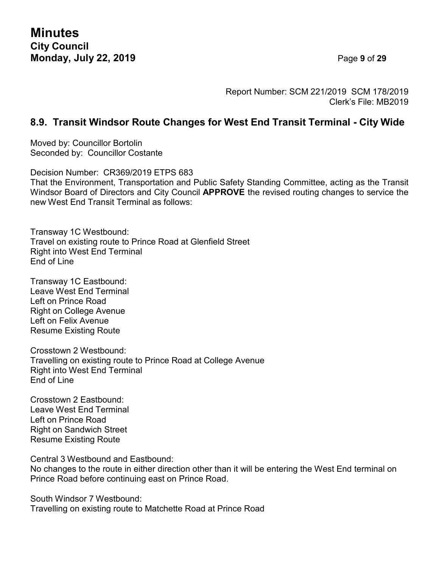**Minutes City Council Monday, July 22, 2019** Page **9** of **29**

Report Number: SCM 221/2019 SCM 178/2019 Clerk's File: MB2019

### **8.9. Transit Windsor Route Changes for West End Transit Terminal - City Wide**

Moved by: Councillor Bortolin Seconded by: Councillor Costante

Decision Number: CR369/2019 ETPS 683 That the Environment, Transportation and Public Safety Standing Committee, acting as the Transit Windsor Board of Directors and City Council **APPROVE** the revised routing changes to service the new West End Transit Terminal as follows:

Transway 1C Westbound: Travel on existing route to Prince Road at Glenfield Street Right into West End Terminal End of Line

Transway 1C Eastbound: Leave West End Terminal Left on Prince Road Right on College Avenue Left on Felix Avenue Resume Existing Route

Crosstown 2 Westbound: Travelling on existing route to Prince Road at College Avenue Right into West End Terminal End of Line

Crosstown 2 Eastbound: Leave West End Terminal Left on Prince Road Right on Sandwich Street Resume Existing Route

Central 3 Westbound and Eastbound:

No changes to the route in either direction other than it will be entering the West End terminal on Prince Road before continuing east on Prince Road.

South Windsor 7 Westbound: Travelling on existing route to Matchette Road at Prince Road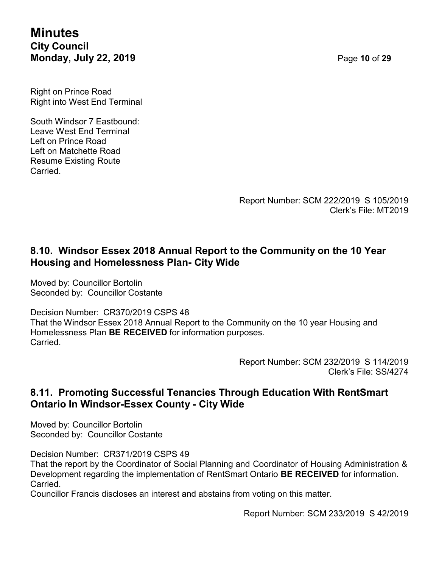## **Minutes City Council Monday, July 22, 2019** Page **10** of **29**

Right on Prince Road Right into West End Terminal

South Windsor 7 Eastbound: Leave West End Terminal Left on Prince Road Left on Matchette Road Resume Existing Route Carried.

> Report Number: SCM 222/2019 S 105/2019 Clerk's File: MT2019

## **8.10. Windsor Essex 2018 Annual Report to the Community on the 10 Year Housing and Homelessness Plan- City Wide**

Moved by: Councillor Bortolin Seconded by: Councillor Costante

Decision Number: CR370/2019 CSPS 48 That the Windsor Essex 2018 Annual Report to the Community on the 10 year Housing and Homelessness Plan **BE RECEIVED** for information purposes. Carried.

> Report Number: SCM 232/2019 S 114/2019 Clerk's File: SS/4274

## **8.11. Promoting Successful Tenancies Through Education With RentSmart Ontario In Windsor-Essex County - City Wide**

Moved by: Councillor Bortolin Seconded by: Councillor Costante

Decision Number: CR371/2019 CSPS 49

That the report by the Coordinator of Social Planning and Coordinator of Housing Administration & Development regarding the implementation of RentSmart Ontario **BE RECEIVED** for information. Carried.

Councillor Francis discloses an interest and abstains from voting on this matter.

Report Number: SCM 233/2019 S 42/2019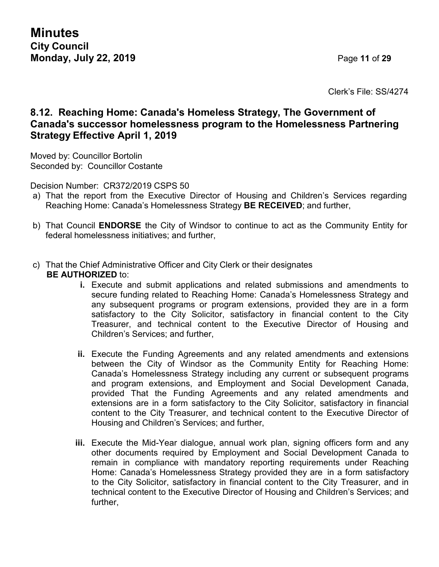Clerk's File: SS/4274

## **8.12. Reaching Home: Canada's Homeless Strategy, The Government of Canada's successor homelessness program to the Homelessness Partnering Strategy Effective April 1, 2019**

Moved by: Councillor Bortolin Seconded by: Councillor Costante

Decision Number: CR372/2019 CSPS 50

- a) That the report from the Executive Director of Housing and Children's Services regarding Reaching Home: Canada's Homelessness Strategy **BE RECEIVED**; and further,
- b) That Council **ENDORSE** the City of Windsor to continue to act as the Community Entity for federal homelessness initiatives; and further,
- c) That the Chief Administrative Officer and City Clerk or their designates **BE AUTHORIZED** to:
	- **i.** Execute and submit applications and related submissions and amendments to secure funding related to Reaching Home: Canada's Homelessness Strategy and any subsequent programs or program extensions, provided they are in a form satisfactory to the City Solicitor, satisfactory in financial content to the City Treasurer, and technical content to the Executive Director of Housing and Children's Services; and further,
	- **ii.** Execute the Funding Agreements and any related amendments and extensions between the City of Windsor as the Community Entity for Reaching Home: Canada's Homelessness Strategy including any current or subsequent programs and program extensions, and Employment and Social Development Canada, provided That the Funding Agreements and any related amendments and extensions are in a form satisfactory to the City Solicitor, satisfactory in financial content to the City Treasurer, and technical content to the Executive Director of Housing and Children's Services; and further,
	- **iii.** Execute the Mid-Year dialogue, annual work plan, signing officers form and any other documents required by Employment and Social Development Canada to remain in compliance with mandatory reporting requirements under Reaching Home: Canada's Homelessness Strategy provided they are in a form satisfactory to the City Solicitor, satisfactory in financial content to the City Treasurer, and in technical content to the Executive Director of Housing and Children's Services; and further,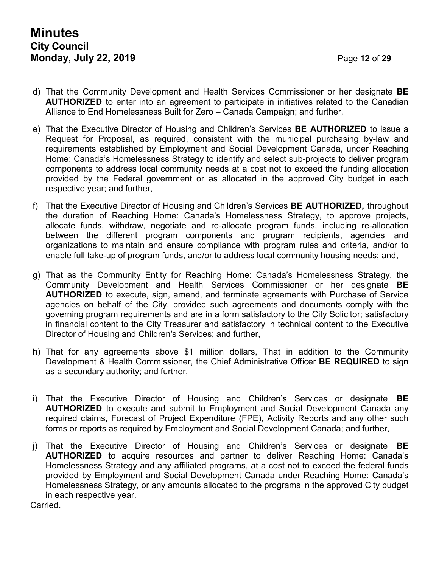- d) That the Community Development and Health Services Commissioner or her designate **BE AUTHORIZED** to enter into an agreement to participate in initiatives related to the Canadian Alliance to End Homelessness Built for Zero – Canada Campaign; and further,
- e) That the Executive Director of Housing and Children's Services **BE AUTHORIZED** to issue a Request for Proposal, as required, consistent with the municipal purchasing by-law and requirements established by Employment and Social Development Canada, under Reaching Home: Canada's Homelessness Strategy to identify and select sub-projects to deliver program components to address local community needs at a cost not to exceed the funding allocation provided by the Federal government or as allocated in the approved City budget in each respective year; and further,
- f) That the Executive Director of Housing and Children's Services **BE AUTHORIZED,** throughout the duration of Reaching Home: Canada's Homelessness Strategy, to approve projects, allocate funds, withdraw, negotiate and re-allocate program funds, including re-allocation between the different program components and program recipients, agencies and organizations to maintain and ensure compliance with program rules and criteria, and/or to enable full take-up of program funds, and/or to address local community housing needs; and,
- g) That as the Community Entity for Reaching Home: Canada's Homelessness Strategy, the Community Development and Health Services Commissioner or her designate **BE AUTHORIZED** to execute, sign, amend, and terminate agreements with Purchase of Service agencies on behalf of the City, provided such agreements and documents comply with the governing program requirements and are in a form satisfactory to the City Solicitor; satisfactory in financial content to the City Treasurer and satisfactory in technical content to the Executive Director of Housing and Children's Services; and further,
- h) That for any agreements above \$1 million dollars, That in addition to the Community Development & Health Commissioner, the Chief Administrative Officer **BE REQUIRED** to sign as a secondary authority; and further,
- i) That the Executive Director of Housing and Children's Services or designate **BE AUTHORIZED** to execute and submit to Employment and Social Development Canada any required claims, Forecast of Project Expenditure (FPE), Activity Reports and any other such forms or reports as required by Employment and Social Development Canada; and further,
- j) That the Executive Director of Housing and Children's Services or designate **BE AUTHORIZED** to acquire resources and partner to deliver Reaching Home: Canada's Homelessness Strategy and any affiliated programs, at a cost not to exceed the federal funds provided by Employment and Social Development Canada under Reaching Home: Canada's Homelessness Strategy, or any amounts allocated to the programs in the approved City budget in each respective year.

Carried.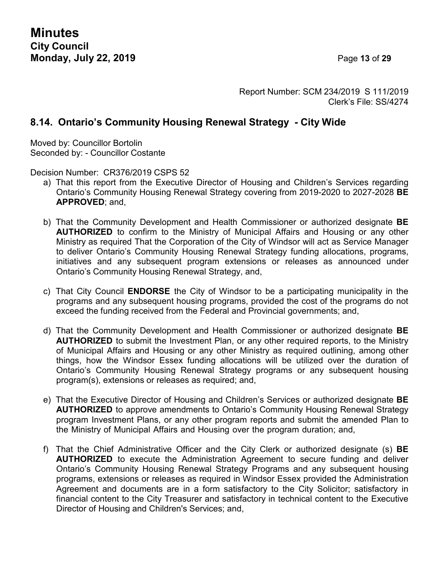Report Number: SCM 234/2019 S 111/2019 Clerk's File: SS/4274

### **8.14. Ontario's Community Housing Renewal Strategy - City Wide**

Moved by: Councillor Bortolin Seconded by: - Councillor Costante

Decision Number: CR376/2019 CSPS 52

- a) That this report from the Executive Director of Housing and Children's Services regarding Ontario's Community Housing Renewal Strategy covering from 2019-2020 to 2027-2028 **BE APPROVED**; and,
- b) That the Community Development and Health Commissioner or authorized designate **BE AUTHORIZED** to confirm to the Ministry of Municipal Affairs and Housing or any other Ministry as required That the Corporation of the City of Windsor will act as Service Manager to deliver Ontario's Community Housing Renewal Strategy funding allocations, programs, initiatives and any subsequent program extensions or releases as announced under Ontario's Community Housing Renewal Strategy, and,
- c) That City Council **ENDORSE** the City of Windsor to be a participating municipality in the programs and any subsequent housing programs, provided the cost of the programs do not exceed the funding received from the Federal and Provincial governments; and,
- d) That the Community Development and Health Commissioner or authorized designate **BE AUTHORIZED** to submit the Investment Plan, or any other required reports, to the Ministry of Municipal Affairs and Housing or any other Ministry as required outlining, among other things, how the Windsor Essex funding allocations will be utilized over the duration of Ontario's Community Housing Renewal Strategy programs or any subsequent housing program(s), extensions or releases as required; and,
- e) That the Executive Director of Housing and Children's Services or authorized designate **BE AUTHORIZED** to approve amendments to Ontario's Community Housing Renewal Strategy program Investment Plans, or any other program reports and submit the amended Plan to the Ministry of Municipal Affairs and Housing over the program duration; and,
- f) That the Chief Administrative Officer and the City Clerk or authorized designate (s) **BE AUTHORIZED** to execute the Administration Agreement to secure funding and deliver Ontario's Community Housing Renewal Strategy Programs and any subsequent housing programs, extensions or releases as required in Windsor Essex provided the Administration Agreement and documents are in a form satisfactory to the City Solicitor; satisfactory in financial content to the City Treasurer and satisfactory in technical content to the Executive Director of Housing and Children's Services; and,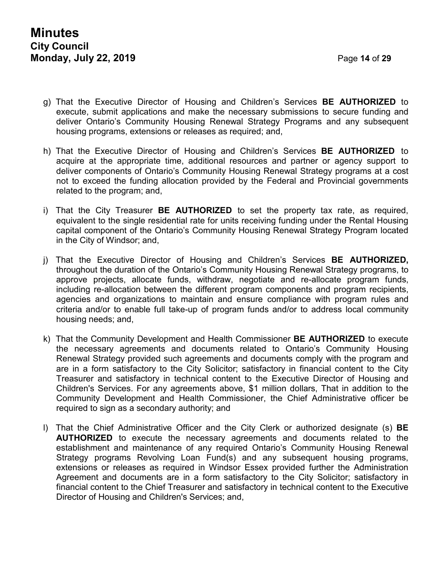- g) That the Executive Director of Housing and Children's Services **BE AUTHORIZED** to execute, submit applications and make the necessary submissions to secure funding and deliver Ontario's Community Housing Renewal Strategy Programs and any subsequent housing programs, extensions or releases as required; and,
- h) That the Executive Director of Housing and Children's Services **BE AUTHORIZED** to acquire at the appropriate time, additional resources and partner or agency support to deliver components of Ontario's Community Housing Renewal Strategy programs at a cost not to exceed the funding allocation provided by the Federal and Provincial governments related to the program; and,
- i) That the City Treasurer **BE AUTHORIZED** to set the property tax rate, as required, equivalent to the single residential rate for units receiving funding under the Rental Housing capital component of the Ontario's Community Housing Renewal Strategy Program located in the City of Windsor; and,
- j) That the Executive Director of Housing and Children's Services **BE AUTHORIZED,** throughout the duration of the Ontario's Community Housing Renewal Strategy programs, to approve projects, allocate funds, withdraw, negotiate and re-allocate program funds, including re-allocation between the different program components and program recipients, agencies and organizations to maintain and ensure compliance with program rules and criteria and/or to enable full take-up of program funds and/or to address local community housing needs; and,
- k) That the Community Development and Health Commissioner **BE AUTHORIZED** to execute the necessary agreements and documents related to Ontario's Community Housing Renewal Strategy provided such agreements and documents comply with the program and are in a form satisfactory to the City Solicitor; satisfactory in financial content to the City Treasurer and satisfactory in technical content to the Executive Director of Housing and Children's Services. For any agreements above, \$1 million dollars, That in addition to the Community Development and Health Commissioner, the Chief Administrative officer be required to sign as a secondary authority; and
- l) That the Chief Administrative Officer and the City Clerk or authorized designate (s) **BE AUTHORIZED** to execute the necessary agreements and documents related to the establishment and maintenance of any required Ontario's Community Housing Renewal Strategy programs Revolving Loan Fund(s) and any subsequent housing programs, extensions or releases as required in Windsor Essex provided further the Administration Agreement and documents are in a form satisfactory to the City Solicitor; satisfactory in financial content to the Chief Treasurer and satisfactory in technical content to the Executive Director of Housing and Children's Services; and,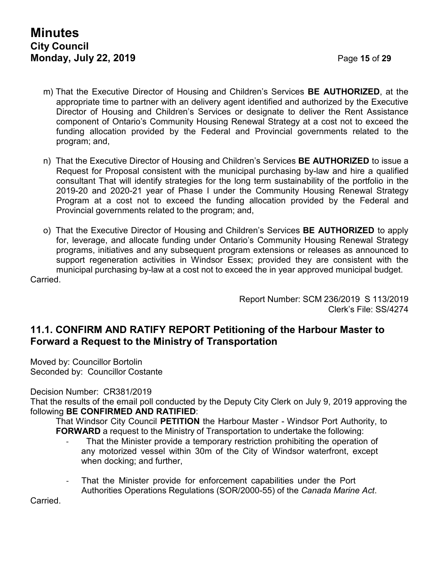- m) That the Executive Director of Housing and Children's Services **BE AUTHORIZED**, at the appropriate time to partner with an delivery agent identified and authorized by the Executive Director of Housing and Children's Services or designate to deliver the Rent Assistance component of Ontario's Community Housing Renewal Strategy at a cost not to exceed the funding allocation provided by the Federal and Provincial governments related to the program; and,
- n) That the Executive Director of Housing and Children's Services **BE AUTHORIZED** to issue a Request for Proposal consistent with the municipal purchasing by-law and hire a qualified consultant That will identify strategies for the long term sustainability of the portfolio in the 2019-20 and 2020-21 year of Phase I under the Community Housing Renewal Strategy Program at a cost not to exceed the funding allocation provided by the Federal and Provincial governments related to the program; and,
- o) That the Executive Director of Housing and Children's Services **BE AUTHORIZED** to apply for, leverage, and allocate funding under Ontario's Community Housing Renewal Strategy programs, initiatives and any subsequent program extensions or releases as announced to support regeneration activities in Windsor Essex; provided they are consistent with the municipal purchasing by-law at a cost not to exceed the in year approved municipal budget. Carried.

Report Number: SCM 236/2019 S 113/2019 Clerk's File: SS/4274

## **11.1. CONFIRM AND RATIFY REPORT Petitioning of the Harbour Master to Forward a Request to the Ministry of Transportation**

Moved by: Councillor Bortolin Seconded by: Councillor Costante

Decision Number: CR381/2019

That the results of the email poll conducted by the Deputy City Clerk on July 9, 2019 approving the following **BE CONFIRMED AND RATIFIED**:

That Windsor City Council **PETITION** the Harbour Master - Windsor Port Authority, to **FORWARD** a request to the Ministry of Transportation to undertake the following:

- That the Minister provide a temporary restriction prohibiting the operation of any motorized vessel within 30m of the City of Windsor waterfront, except when docking; and further,
- That the Minister provide for enforcement capabilities under the Port Authorities Operations Regulations (SOR/2000-55) of the *Canada Marine Act*.

Carried.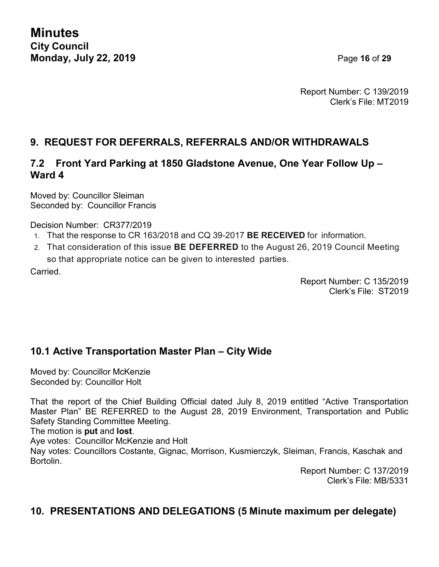**Minutes City Council Monday, July 22, 2019 Page 16 of 29** 

Report Number: C 139/2019 Clerk's File: MT2019

## **9. REQUEST FOR DEFERRALS, REFERRALS AND/OR WITHDRAWALS**

## **7.2 Front Yard Parking at 1850 Gladstone Avenue, One Year Follow Up – Ward 4**

Moved by: Councillor Sleiman Seconded by: Councillor Francis

Decision Number: CR377/2019

- 1. That the response to CR 163/2018 and CQ 39-2017 **BE RECEIVED** for information.
- 2. That consideration of this issue **BE DEFERRED** to the August 26, 2019 Council Meeting so that appropriate notice can be given to interested parties.

**Carried** 

Report Number: C 135/2019 Clerk's File: ST2019

## **10.1 Active Transportation Master Plan – City Wide**

Moved by: Councillor McKenzie Seconded by: Councillor Holt

That the report of the Chief Building Official dated July 8, 2019 entitled "Active Transportation Master Plan" BE REFERRED to the August 28, 2019 Environment, Transportation and Public Safety Standing Committee Meeting.

The motion is **put** and **lost**.

Aye votes: Councillor McKenzie and Holt

Nay votes: Councillors Costante, Gignac, Morrison, Kusmierczyk, Sleiman, Francis, Kaschak and Bortolin.

> Report Number: C 137/2019 Clerk's File: MB/5331

## **10. PRESENTATIONS AND DELEGATIONS (5 Minute maximum per delegate)**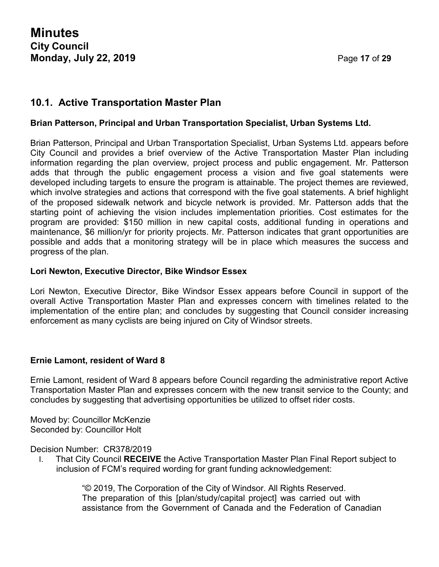## **10.1. Active Transportation Master Plan**

#### **Brian Patterson, Principal and Urban Transportation Specialist, Urban Systems Ltd.**

Brian Patterson, Principal and Urban Transportation Specialist, Urban Systems Ltd. appears before City Council and provides a brief overview of the Active Transportation Master Plan including information regarding the plan overview, project process and public engagement. Mr. Patterson adds that through the public engagement process a vision and five goal statements were developed including targets to ensure the program is attainable. The project themes are reviewed, which involve strategies and actions that correspond with the five goal statements. A brief highlight of the proposed sidewalk network and bicycle network is provided. Mr. Patterson adds that the starting point of achieving the vision includes implementation priorities. Cost estimates for the program are provided: \$150 million in new capital costs, additional funding in operations and maintenance, \$6 million/yr for priority projects. Mr. Patterson indicates that grant opportunities are possible and adds that a monitoring strategy will be in place which measures the success and progress of the plan.

#### **Lori Newton, Executive Director, Bike Windsor Essex**

Lori Newton, Executive Director, Bike Windsor Essex appears before Council in support of the overall Active Transportation Master Plan and expresses concern with timelines related to the implementation of the entire plan; and concludes by suggesting that Council consider increasing enforcement as many cyclists are being injured on City of Windsor streets.

#### **Ernie Lamont, resident of Ward 8**

Ernie Lamont, resident of Ward 8 appears before Council regarding the administrative report Active Transportation Master Plan and expresses concern with the new transit service to the County; and concludes by suggesting that advertising opportunities be utilized to offset rider costs.

Moved by: Councillor McKenzie Seconded by: Councillor Holt

Decision Number: CR378/2019

I. That City Council **RECEIVE** the Active Transportation Master Plan Final Report subject to inclusion of FCM's required wording for grant funding acknowledgement:

> "© 2019, The Corporation of the City of Windsor. All Rights Reserved. The preparation of this [plan/study/capital project] was carried out with assistance from the Government of Canada and the Federation of Canadian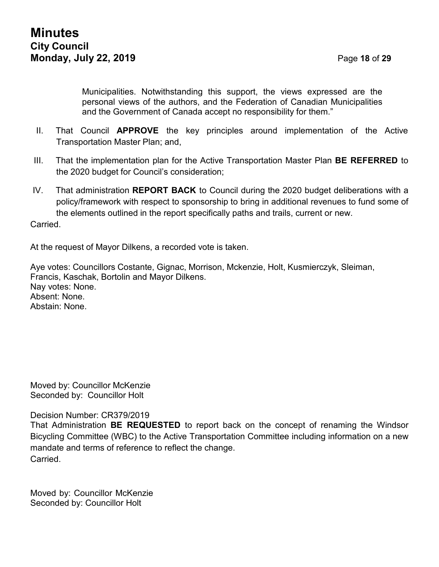Municipalities. Notwithstanding this support, the views expressed are the personal views of the authors, and the Federation of Canadian Municipalities and the Government of Canada accept no responsibility for them."

- II. That Council **APPROVE** the key principles around implementation of the Active Transportation Master Plan; and,
- III. That the implementation plan for the Active Transportation Master Plan **BE REFERRED** to the 2020 budget for Council's consideration;
- IV. That administration **REPORT BACK** to Council during the 2020 budget deliberations with a policy/framework with respect to sponsorship to bring in additional revenues to fund some of the elements outlined in the report specifically paths and trails, current or new.

Carried.

At the request of Mayor Dilkens, a recorded vote is taken.

Aye votes: Councillors Costante, Gignac, Morrison, Mckenzie, Holt, Kusmierczyk, Sleiman, Francis, Kaschak, Bortolin and Mayor Dilkens. Nay votes: None. Absent: None. Abstain: None.

Moved by: Councillor McKenzie Seconded by: Councillor Holt

Decision Number: CR379/2019

That Administration **BE REQUESTED** to report back on the concept of renaming the Windsor Bicycling Committee (WBC) to the Active Transportation Committee including information on a new mandate and terms of reference to reflect the change. Carried.

Moved by: Councillor McKenzie Seconded by: Councillor Holt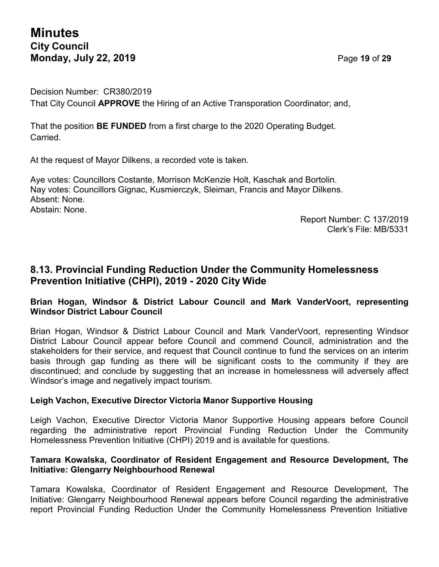# **Minutes City Council Monday, July 22, 2019 Page 19 of 29**

Decision Number: CR380/2019 That City Council **APPROVE** the Hiring of an Active Transporation Coordinator; and,

That the position **BE FUNDED** from a first charge to the 2020 Operating Budget. Carried.

At the request of Mayor Dilkens, a recorded vote is taken.

Aye votes: Councillors Costante, Morrison McKenzie Holt, Kaschak and Bortolin. Nay votes: Councillors Gignac, Kusmierczyk, Sleiman, Francis and Mayor Dilkens. Absent: None. Abstain: None.

> Report Number: C 137/2019 Clerk's File: MB/5331

### **8.13. Provincial Funding Reduction Under the Community Homelessness Prevention Initiative (CHPI), 2019 - 2020 City Wide**

#### **Brian Hogan, Windsor & District Labour Council and Mark VanderVoort, representing Windsor District Labour Council**

Brian Hogan, Windsor & District Labour Council and Mark VanderVoort, representing Windsor District Labour Council appear before Council and commend Council, administration and the stakeholders for their service, and request that Council continue to fund the services on an interim basis through gap funding as there will be significant costs to the community if they are discontinued; and conclude by suggesting that an increase in homelessness will adversely affect Windsor's image and negatively impact tourism.

#### **Leigh Vachon, Executive Director Victoria Manor Supportive Housing**

Leigh Vachon, Executive Director Victoria Manor Supportive Housing appears before Council regarding the administrative report Provincial Funding Reduction Under the Community Homelessness Prevention Initiative (CHPI) 2019 and is available for questions.

#### **Tamara Kowalska, Coordinator of Resident Engagement and Resource Development, The Initiative: Glengarry Neighbourhood Renewal**

Tamara Kowalska, Coordinator of Resident Engagement and Resource Development, The Initiative: Glengarry Neighbourhood Renewal appears before Council regarding the administrative report Provincial Funding Reduction Under the Community Homelessness Prevention Initiative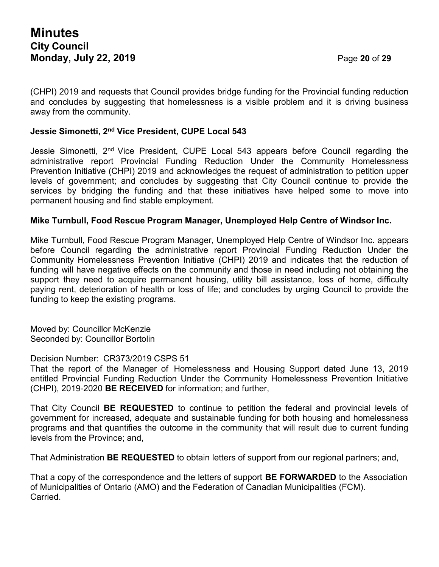(CHPI) 2019 and requests that Council provides bridge funding for the Provincial funding reduction and concludes by suggesting that homelessness is a visible problem and it is driving business away from the community.

#### **Jessie Simonetti, 2 nd Vice President, CUPE Local 543**

Jessie Simonetti, 2<sup>nd</sup> Vice President, CUPE Local 543 appears before Council regarding the administrative report Provincial Funding Reduction Under the Community Homelessness Prevention Initiative (CHPI) 2019 and acknowledges the request of administration to petition upper levels of government; and concludes by suggesting that City Council continue to provide the services by bridging the funding and that these initiatives have helped some to move into permanent housing and find stable employment.

#### **Mike Turnbull, Food Rescue Program Manager, Unemployed Help Centre of Windsor Inc.**

Mike Turnbull, Food Rescue Program Manager, Unemployed Help Centre of Windsor Inc. appears before Council regarding the administrative report Provincial Funding Reduction Under the Community Homelessness Prevention Initiative (CHPI) 2019 and indicates that the reduction of funding will have negative effects on the community and those in need including not obtaining the support they need to acquire permanent housing, utility bill assistance, loss of home, difficulty paying rent, deterioration of health or loss of life; and concludes by urging Council to provide the funding to keep the existing programs.

Moved by: Councillor McKenzie Seconded by: Councillor Bortolin

Decision Number: CR373/2019 CSPS 51

That the report of the Manager of Homelessness and Housing Support dated June 13, 2019 entitled Provincial Funding Reduction Under the Community Homelessness Prevention Initiative (CHPI), 2019-2020 **BE RECEIVED** for information; and further,

That City Council **BE REQUESTED** to continue to petition the federal and provincial levels of government for increased, adequate and sustainable funding for both housing and homelessness programs and that quantifies the outcome in the community that will result due to current funding levels from the Province; and,

That Administration **BE REQUESTED** to obtain letters of support from our regional partners; and,

That a copy of the correspondence and the letters of support **BE FORWARDED** to the Association of Municipalities of Ontario (AMO) and the Federation of Canadian Municipalities (FCM). Carried.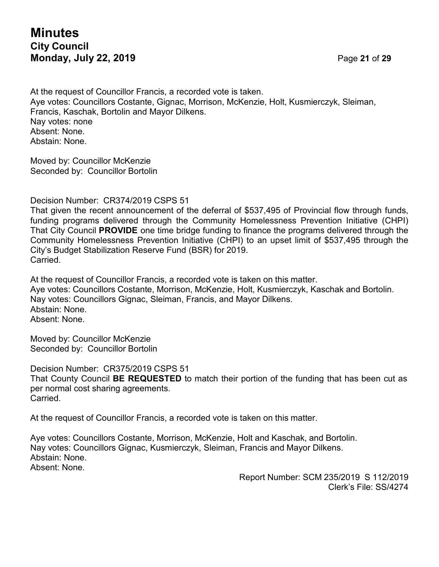# **Minutes City Council Monday, July 22, 2019** Page **21** of **29**

At the request of Councillor Francis, a recorded vote is taken. Aye votes: Councillors Costante, Gignac, Morrison, McKenzie, Holt, Kusmierczyk, Sleiman, Francis, Kaschak, Bortolin and Mayor Dilkens. Nay votes: none Absent: None. Abstain: None.

Moved by: Councillor McKenzie Seconded by: Councillor Bortolin

Decision Number: CR374/2019 CSPS 51

That given the recent announcement of the deferral of \$537,495 of Provincial flow through funds, funding programs delivered through the Community Homelessness Prevention Initiative (CHPI) That City Council **PROVIDE** one time bridge funding to finance the programs delivered through the Community Homelessness Prevention Initiative (CHPI) to an upset limit of \$537,495 through the City's Budget Stabilization Reserve Fund (BSR) for 2019. Carried.

At the request of Councillor Francis, a recorded vote is taken on this matter. Aye votes: Councillors Costante, Morrison, McKenzie, Holt, Kusmierczyk, Kaschak and Bortolin. Nay votes: Councillors Gignac, Sleiman, Francis, and Mayor Dilkens. Abstain: None. Absent: None.

Moved by: Councillor McKenzie Seconded by: Councillor Bortolin

Decision Number: CR375/2019 CSPS 51 That County Council **BE REQUESTED** to match their portion of the funding that has been cut as per normal cost sharing agreements. Carried.

At the request of Councillor Francis, a recorded vote is taken on this matter.

Aye votes: Councillors Costante, Morrison, McKenzie, Holt and Kaschak, and Bortolin. Nay votes: Councillors Gignac, Kusmierczyk, Sleiman, Francis and Mayor Dilkens. Abstain: None. Absent: None.

> Report Number: SCM 235/2019 S 112/2019 Clerk's File: SS/4274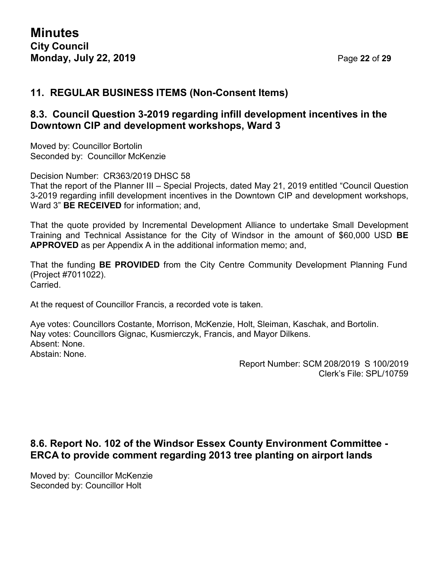## **11. REGULAR BUSINESS ITEMS (Non-Consent Items)**

## **8.3. Council Question 3-2019 regarding infill development incentives in the Downtown CIP and development workshops, Ward 3**

Moved by: Councillor Bortolin Seconded by: Councillor McKenzie

Decision Number: CR363/2019 DHSC 58

That the report of the Planner III – Special Projects, dated May 21, 2019 entitled "Council Question 3-2019 regarding infill development incentives in the Downtown CIP and development workshops, Ward 3" **BE RECEIVED** for information; and,

That the quote provided by Incremental Development Alliance to undertake Small Development Training and Technical Assistance for the City of Windsor in the amount of \$60,000 USD **BE APPROVED** as per Appendix A in the additional information memo; and,

That the funding **BE PROVIDED** from the City Centre Community Development Planning Fund (Project #7011022). Carried.

At the request of Councillor Francis, a recorded vote is taken.

Aye votes: Councillors Costante, Morrison, McKenzie, Holt, Sleiman, Kaschak, and Bortolin. Nay votes: Councillors Gignac, Kusmierczyk, Francis, and Mayor Dilkens. Absent: None. Abstain: None.

Report Number: SCM 208/2019 S 100/2019 Clerk's File: SPL/10759

### **8.6. Report No. 102 of the Windsor Essex County Environment Committee - ERCA to provide comment regarding 2013 tree planting on airport lands**

Moved by: Councillor McKenzie Seconded by: Councillor Holt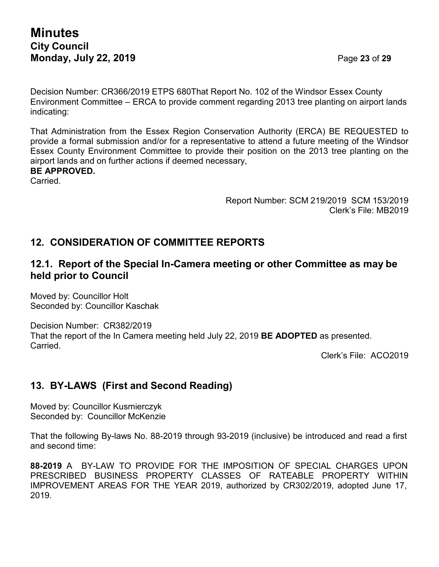# **Minutes City Council Monday, July 22, 2019** Page **23** of **29**

Decision Number: CR366/2019 ETPS 680That Report No. 102 of the Windsor Essex County Environment Committee – ERCA to provide comment regarding 2013 tree planting on airport lands indicating:

That Administration from the Essex Region Conservation Authority (ERCA) BE REQUESTED to provide a formal submission and/or for a representative to attend a future meeting of the Windsor Essex County Environment Committee to provide their position on the 2013 tree planting on the airport lands and on further actions if deemed necessary,

### **BE APPROVED.**

Carried.

Report Number: SCM 219/2019 SCM 153/2019 Clerk's File: MB2019

### **12. CONSIDERATION OF COMMITTEE REPORTS**

### **12.1. Report of the Special In-Camera meeting or other Committee as may be held prior to Council**

Moved by: Councillor Holt Seconded by: Councillor Kaschak

Decision Number: CR382/2019 That the report of the In Camera meeting held July 22, 2019 **BE ADOPTED** as presented. Carried.

Clerk's File: ACO2019

### **13. BY-LAWS (First and Second Reading)**

Moved by: Councillor Kusmierczyk Seconded by: Councillor McKenzie

That the following By-laws No. 88-2019 through 93-2019 (inclusive) be introduced and read a first and second time:

**88-2019** A BY-LAW TO PROVIDE FOR THE IMPOSITION OF SPECIAL CHARGES UPON PRESCRIBED BUSINESS PROPERTY CLASSES OF RATEABLE PROPERTY WITHIN IMPROVEMENT AREAS FOR THE YEAR 2019, authorized by CR302/2019, adopted June 17, 2019.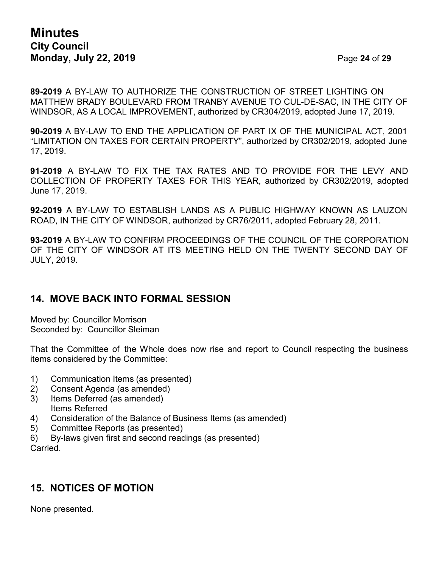**89-2019** A BY-LAW TO AUTHORIZE THE CONSTRUCTION OF STREET LIGHTING ON MATTHEW BRADY BOULEVARD FROM TRANBY AVENUE TO CUL-DE-SAC, IN THE CITY OF WINDSOR, AS A LOCAL IMPROVEMENT, authorized by CR304/2019, adopted June 17, 2019.

**90-2019** A BY-LAW TO END THE APPLICATION OF PART IX OF THE MUNICIPAL ACT, 2001 "LIMITATION ON TAXES FOR CERTAIN PROPERTY", authorized by CR302/2019, adopted June 17, 2019.

**91-2019** A BY-LAW TO FIX THE TAX RATES AND TO PROVIDE FOR THE LEVY AND COLLECTION OF PROPERTY TAXES FOR THIS YEAR, authorized by CR302/2019, adopted June 17, 2019.

**92-2019** A BY-LAW TO ESTABLISH LANDS AS A PUBLIC HIGHWAY KNOWN AS LAUZON ROAD, IN THE CITY OF WINDSOR, authorized by CR76/2011, adopted February 28, 2011.

**93-2019** A BY-LAW TO CONFIRM PROCEEDINGS OF THE COUNCIL OF THE CORPORATION OF THE CITY OF WINDSOR AT ITS MEETING HELD ON THE TWENTY SECOND DAY OF JULY, 2019.

## **14. MOVE BACK INTO FORMAL SESSION**

Moved by: Councillor Morrison Seconded by: Councillor Sleiman

That the Committee of the Whole does now rise and report to Council respecting the business items considered by the Committee:

- 1) Communication Items (as presented)
- 2) Consent Agenda (as amended)
- 3) Items Deferred (as amended) Items Referred
- 4) Consideration of the Balance of Business Items (as amended)
- 5) Committee Reports (as presented)
- 6) By-laws given first and second readings (as presented) Carried.

## **15. NOTICES OF MOTION**

None presented.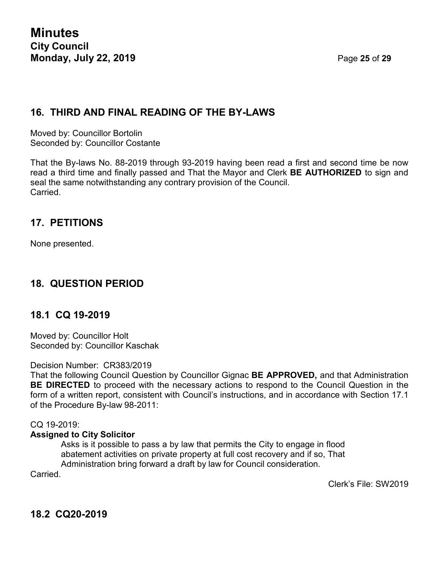## **16. THIRD AND FINAL READING OF THE BY-LAWS**

Moved by: Councillor Bortolin Seconded by: Councillor Costante

That the By-laws No. 88-2019 through 93-2019 having been read a first and second time be now read a third time and finally passed and That the Mayor and Clerk **BE AUTHORIZED** to sign and seal the same notwithstanding any contrary provision of the Council. Carried.

## **17. PETITIONS**

None presented.

## **18. QUESTION PERIOD**

### **18.1 CQ 19-2019**

Moved by: Councillor Holt Seconded by: Councillor Kaschak

Decision Number: CR383/2019

That the following Council Question by Councillor Gignac **BE APPROVED,** and that Administration **BE DIRECTED** to proceed with the necessary actions to respond to the Council Question in the form of a written report, consistent with Council's instructions, and in accordance with Section 17.1 of the Procedure By-law 98-2011:

CQ 19-2019:

#### **Assigned to City Solicitor**

Asks is it possible to pass a by law that permits the City to engage in flood abatement activities on private property at full cost recovery and if so, That Administration bring forward a draft by law for Council consideration.

**Carried** 

Clerk's File: SW2019

**18.2 CQ20-2019**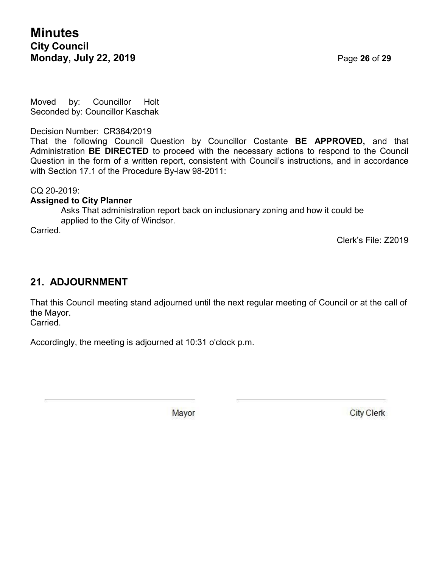Moved by: Councillor Holt Seconded by: Councillor Kaschak

Decision Number: CR384/2019

That the following Council Question by Councillor Costante **BE APPROVED,** and that Administration **BE DIRECTED** to proceed with the necessary actions to respond to the Council Question in the form of a written report, consistent with Council's instructions, and in accordance with Section 17.1 of the Procedure By-law 98-2011:

CQ 20-2019:

#### **Assigned to City Planner**

Asks That administration report back on inclusionary zoning and how it could be applied to the City of Windsor.

**Carried** 

Clerk's File: Z2019

### **21. ADJOURNMENT**

That this Council meeting stand adjourned until the next regular meeting of Council or at the call of the Mayor. Carried.

Accordingly, the meeting is adjourned at 10:31 o'clock p.m.

Mayor

**City Clerk**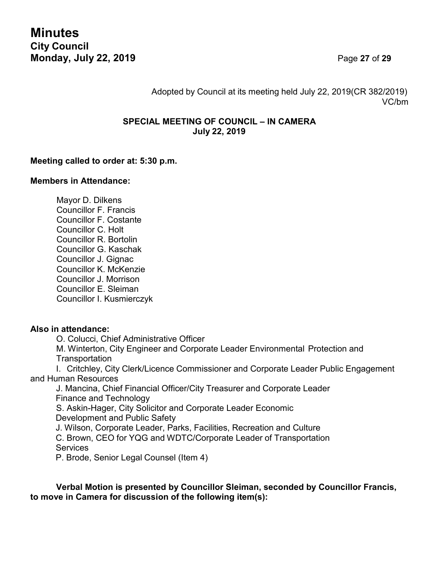**Minutes City Council Monday, July 22, 2019** Page **27** of **29**

Adopted by Council at its meeting held July 22, 2019(CR 382/2019) VC/bm

#### **SPECIAL MEETING OF COUNCIL – IN CAMERA July 22, 2019**

#### **Meeting called to order at: 5:30 p.m.**

#### **Members in Attendance:**

Mayor D. Dilkens Councillor F. Francis Councillor F. Costante Councillor C. Holt Councillor R. Bortolin Councillor G. Kaschak Councillor J. Gignac Councillor K. McKenzie Councillor J. Morrison Councillor E. Sleiman Councillor I. Kusmierczyk

#### **Also in attendance:**

O. Colucci, Chief Administrative Officer

M. Winterton, City Engineer and Corporate Leader Environmental Protection and **Transportation** 

I. Critchley, City Clerk/Licence Commissioner and Corporate Leader Public Engagement and Human Resources

J. Mancina, Chief Financial Officer/City Treasurer and Corporate Leader Finance and Technology

S. Askin-Hager, City Solicitor and Corporate Leader Economic Development and Public Safety

J. Wilson, Corporate Leader, Parks, Facilities, Recreation and Culture

C. Brown, CEO for YQG and WDTC/Corporate Leader of Transportation **Services** 

P. Brode, Senior Legal Counsel (Item 4)

**Verbal Motion is presented by Councillor Sleiman, seconded by Councillor Francis, to move in Camera for discussion of the following item(s):**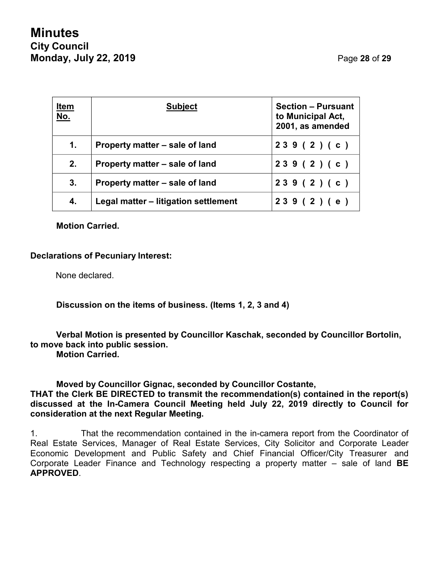| <u>Item</u><br>No. | <b>Subject</b>                       | <b>Section - Pursuant</b><br>to Municipal Act,<br>2001, as amended |
|--------------------|--------------------------------------|--------------------------------------------------------------------|
| 1.                 | Property matter – sale of land       | 239(2)(c)                                                          |
| 2.                 | Property matter – sale of land       | 239(2)(c)                                                          |
| 3.                 | Property matter – sale of land       | 239(2)(c)                                                          |
| 4.                 | Legal matter - litigation settlement | 239(2)(e)                                                          |

**Motion Carried.**

#### **Declarations of Pecuniary Interest:**

None declared.

**Discussion on the items of business. (Items 1, 2, 3 and 4)**

#### **Verbal Motion is presented by Councillor Kaschak, seconded by Councillor Bortolin, to move back into public session.**

**Motion Carried.**

**Moved by Councillor Gignac, seconded by Councillor Costante,**

**THAT the Clerk BE DIRECTED to transmit the recommendation(s) contained in the report(s) discussed at the In-Camera Council Meeting held July 22, 2019 directly to Council for consideration at the next Regular Meeting.**

1. That the recommendation contained in the in-camera report from the Coordinator of Real Estate Services, Manager of Real Estate Services, City Solicitor and Corporate Leader Economic Development and Public Safety and Chief Financial Officer/City Treasurer and Corporate Leader Finance and Technology respecting a property matter – sale of land **BE APPROVED**.